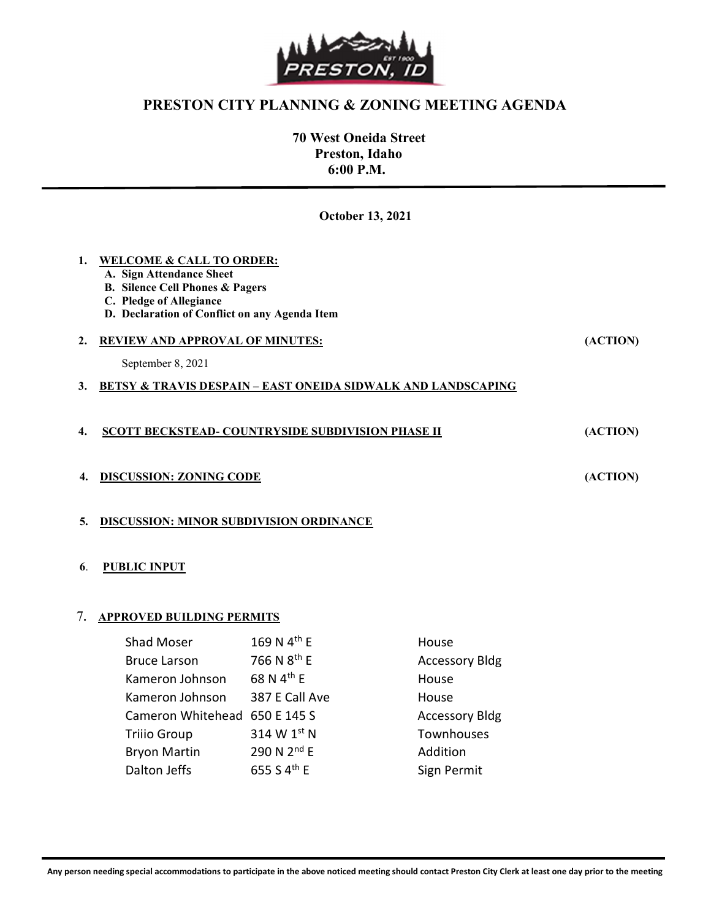

## PRESTON CITY PLANNING & ZONING MEETING AGENDA

 70 West Oneida Street Preston, Idaho 6:00 P.M.

October 13, 2021

| <b>WELCOME &amp; CALL TO ORDER:</b><br>A. Sign Attendance Sheet<br><b>B.</b> Silence Cell Phones & Pagers<br>C. Pledge of Allegiance<br>D. Declaration of Conflict on any Agenda Item |          |
|---------------------------------------------------------------------------------------------------------------------------------------------------------------------------------------|----------|
| <b>REVIEW AND APPROVAL OF MINUTES:</b>                                                                                                                                                | (ACTION) |
| September 8, 2021                                                                                                                                                                     |          |
| <b>BETSY &amp; TRAVIS DESPAIN – EAST ONEIDA SIDWALK AND LANDSCAPING</b>                                                                                                               |          |
| SCOTT BECKSTEAD- COUNTRYSIDE SUBDIVISION PHASE II                                                                                                                                     | (ACTION) |
| <b>DISCUSSION: ZONING CODE</b>                                                                                                                                                        | (ACTION) |
| <b>DISCUSSION: MINOR SUBDIVISION ORDINANCE</b>                                                                                                                                        |          |
|                                                                                                                                                                                       |          |

## 6. PUBLIC INPUT

j

## 7. APPROVED BUILDING PERMITS

| <b>Shad Moser</b>             | 169 N 4 <sup>th</sup> E | House                 |
|-------------------------------|-------------------------|-----------------------|
| <b>Bruce Larson</b>           | 766 N 8 <sup>th</sup> E | <b>Accessory Bldg</b> |
| Kameron Johnson               | 68 N 4 <sup>th</sup> E  | House                 |
| Kameron Johnson               | 387 E Call Ave          | House                 |
| Cameron Whitehead 650 E 145 S |                         | <b>Accessory Bldg</b> |
| <b>Trilio Group</b>           | 314 W 1st N             | Townhouses            |
| <b>Bryon Martin</b>           | 290 N 2 <sup>nd</sup> E | Addition              |
| Dalton Jeffs                  | 655 S 4 <sup>th</sup> E | Sign Permit           |